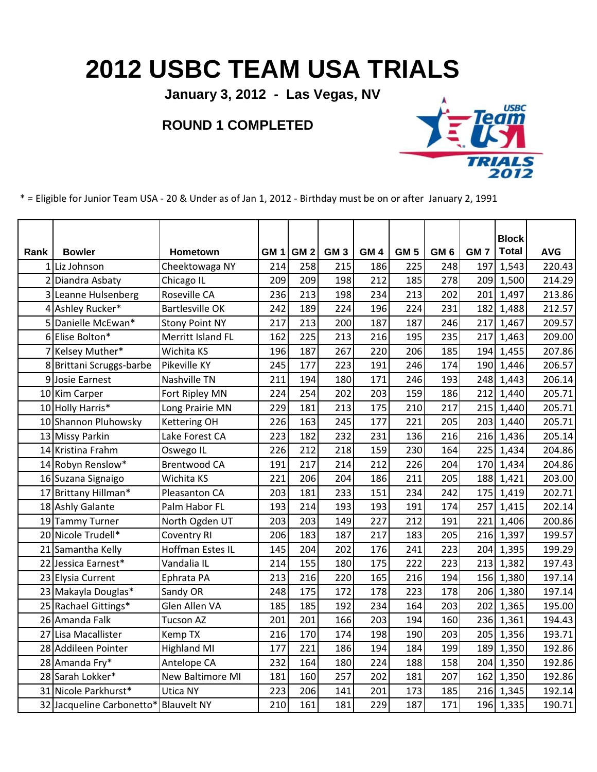## **2012 USBC TEAM USA TRIALS**

**January 3, 2012 - Las Vegas, NV**

## **ROUND 1 COMPLETED**



\* = Eligible for Junior Team USA - 20 & Under as of Jan 1, 2012 - Birthday must be on or after January 2, 1991

|      |                           |                         |                 |                 |                 |                 |                 |                 |                 | <b>Block</b> |            |
|------|---------------------------|-------------------------|-----------------|-----------------|-----------------|-----------------|-----------------|-----------------|-----------------|--------------|------------|
| Rank | <b>Bowler</b>             | <b>Hometown</b>         | GM <sub>1</sub> | GM <sub>2</sub> | GM <sub>3</sub> | GM <sub>4</sub> | GM <sub>5</sub> | GM <sub>6</sub> | GM <sub>7</sub> | <b>Total</b> | <b>AVG</b> |
|      | 1 Liz Johnson             | Cheektowaga NY          | 214             | 258             | 215             | 186             | 225             | 248             | 197             | 1,543        | 220.43     |
|      | 2 Diandra Asbaty          | Chicago IL              | 209             | 209             | 198             | 212             | 185             | 278             | 209             | 1,500        | 214.29     |
|      | 3 Leanne Hulsenberg       | Roseville CA            | 236             | 213             | 198             | 234             | 213             | 202             | 201             | 1,497        | 213.86     |
|      | 4 Ashley Rucker*          | <b>Bartlesville OK</b>  | 242             | 189             | 224             | 196             | 224             | 231             | 182             | 1,488        | 212.57     |
|      | 5 Danielle McEwan*        | <b>Stony Point NY</b>   | 217             | 213             | 200             | 187             | 187             | 246             | 217             | 1,467        | 209.57     |
| 6    | Elise Bolton*             | Merritt Island FL       | 162             | 225             | 213             | 216             | 195             | 235             | 217             | 1,463        | 209.00     |
|      | Kelsey Muther*            | Wichita KS              | 196             | 187             | 267             | 220             | 206             | 185             | 194             | 1,455        | 207.86     |
|      | 8 Brittani Scruggs-barbe  | Pikeville KY            | 245             | 177             | 223             | 191             | 246             | 174             | 190             | 1,446        | 206.57     |
| 9    | Josie Earnest             | Nashville TN            | 211             | 194             | 180             | 171             | 246             | 193             | 248             | 1,443        | 206.14     |
|      | 10 Kim Carper             | Fort Ripley MN          | 224             | 254             | 202             | 203             | 159             | 186             | 212             | 1,440        | 205.71     |
|      | 10 Holly Harris*          | Long Prairie MN         | 229             | 181             | 213             | 175             | 210             | 217             | 215             | 1,440        | 205.71     |
|      | 10 Shannon Pluhowsky      | <b>Kettering OH</b>     | 226             | 163             | 245             | 177             | 221             | 205             | 203             | 1,440        | 205.71     |
|      | 13 Missy Parkin           | Lake Forest CA          | 223             | 182             | 232             | 231             | 136             | 216             | 216             | 1,436        | 205.14     |
|      | 14 Kristina Frahm         | Oswego IL               | 226             | 212             | 218             | 159             | 230             | 164             | 225             | 1,434        | 204.86     |
|      | 14 Robyn Renslow*         | <b>Brentwood CA</b>     | 191             | 217             | 214             | 212             | 226             | 204             | 170             | 1,434        | 204.86     |
|      | 16 Suzana Signaigo        | Wichita KS              | 221             | 206             | 204             | 186             | 211             | 205             | 188             | 1,421        | 203.00     |
|      | 17 Brittany Hillman*      | Pleasanton CA           | 203             | 181             | 233             | 151             | 234             | 242             | 175             | 1,419        | 202.71     |
|      | 18 Ashly Galante          | Palm Habor FL           | 193             | 214             | 193             | 193             | 191             | 174             | 257             | 1,415        | 202.14     |
|      | 19 Tammy Turner           | North Ogden UT          | 203             | 203             | 149             | 227             | 212             | 191             | 221             | 1,406        | 200.86     |
|      | 20 Nicole Trudell*        | <b>Coventry RI</b>      | 206             | 183             | 187             | 217             | 183             | 205             | 216             | 1,397        | 199.57     |
| 21   | Samantha Kelly            | Hoffman Estes IL        | 145             | 204             | 202             | 176             | 241             | 223             | 204             | 1,395        | 199.29     |
|      | 22 Jessica Earnest*       | Vandalia IL             | 214             | 155             | 180             | 175             | 222             | 223             | 213             | 1,382        | 197.43     |
|      | 23 Elysia Current         | Ephrata PA              | 213             | 216             | 220             | 165             | 216             | 194             | 156             | 1,380        | 197.14     |
|      | 23 Makayla Douglas*       | Sandy OR                | 248             | 175             | 172             | 178             | 223             | 178             | 206             | 1,380        | 197.14     |
|      | 25 Rachael Gittings*      | Glen Allen VA           | 185             | 185             | 192             | 234             | 164             | 203             | 202             | 1,365        | 195.00     |
|      | 26 Amanda Falk            | <b>Tucson AZ</b>        | 201             | 201             | 166             | 203             | 194             | 160             | 236             | 1,361        | 194.43     |
| 27   | Lisa Macallister          | <b>Kemp TX</b>          | 216             | 170             | 174             | 198             | 190             | 203             | 205             | 1,356        | 193.71     |
|      | 28 Addileen Pointer       | <b>Highland MI</b>      | 177             | 221             | 186             | 194             | 184             | 199             | 189             | 1,350        | 192.86     |
|      | 28 Amanda Fry*            | Antelope CA             | 232             | 164             | 180             | 224             | 188             | 158             | 204             | 1,350        | 192.86     |
|      | 28 Sarah Lokker*          | <b>New Baltimore MI</b> | 181             | 160             | 257             | 202             | 181             | 207             | 162             | 1,350        | 192.86     |
|      | 31 Nicole Parkhurst*      | Utica NY                | 223             | 206             | 141             | 201             | 173             | 185             |                 | 216 1,345    | 192.14     |
|      | 32 Jacqueline Carbonetto* | <b>Blauvelt NY</b>      | 210             | 161             | 181             | 229             | 187             | 171             |                 | 196 1,335    | 190.71     |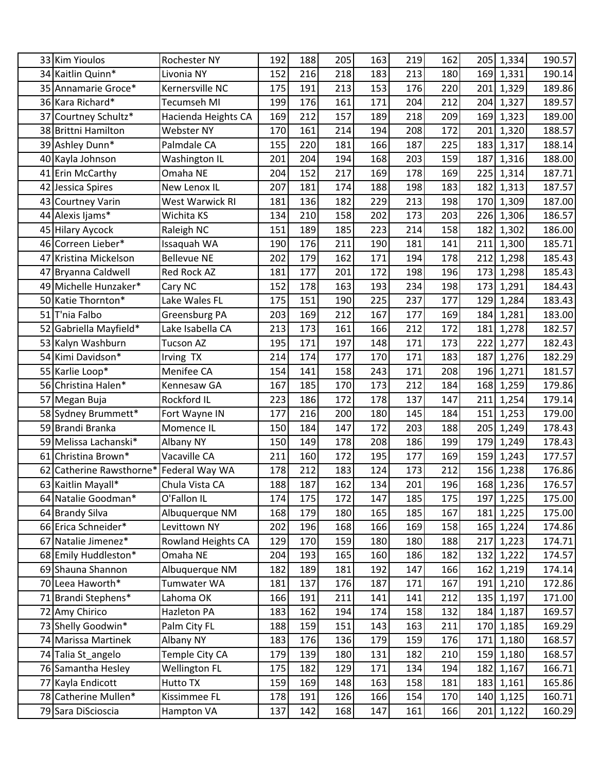|    | 33 Kim Yioulos         | Rochester NY         | 192 | 188 | 205 | 163 | 219 | 162 | 205<br>1,334 | 190.57 |
|----|------------------------|----------------------|-----|-----|-----|-----|-----|-----|--------------|--------|
|    | 34 Kaitlin Quinn*      | Livonia NY           | 152 | 216 | 218 | 183 | 213 | 180 | 1,331<br>169 | 190.14 |
|    | 35 Annamarie Groce*    | Kernersville NC      | 175 | 191 | 213 | 153 | 176 | 220 | 201<br>1,329 | 189.86 |
|    | 36 Kara Richard*       | <b>Tecumseh MI</b>   | 199 | 176 | 161 | 171 | 204 | 212 | 204<br>1,327 | 189.57 |
| 37 | Courtney Schultz*      | Hacienda Heights CA  | 169 | 212 | 157 | 189 | 218 | 209 | 1,323<br>169 | 189.00 |
|    | 38 Brittni Hamilton    | Webster NY           | 170 | 161 | 214 | 194 | 208 | 172 | 201<br>1,320 | 188.57 |
|    | 39 Ashley Dunn*        | Palmdale CA          | 155 | 220 | 181 | 166 | 187 | 225 | 1,317<br>183 | 188.14 |
|    | 40 Kayla Johnson       | Washington IL        | 201 | 204 | 194 | 168 | 203 | 159 | 187<br>1,316 | 188.00 |
|    | 41 Erin McCarthy       | Omaha NE             | 204 | 152 | 217 | 169 | 178 | 169 | 225<br>1,314 | 187.71 |
| 42 | Jessica Spires         | New Lenox IL         | 207 | 181 | 174 | 188 | 198 | 183 | 182<br>1,313 | 187.57 |
|    | 43 Courtney Varin      | West Warwick RI      | 181 | 136 | 182 | 229 | 213 | 198 | 1,309<br>170 | 187.00 |
|    | 44 Alexis Ijams*       | Wichita KS           | 134 | 210 | 158 | 202 | 173 | 203 | 1,306<br>226 | 186.57 |
|    | 45 Hilary Aycock       | Raleigh NC           | 151 | 189 | 185 | 223 | 214 | 158 | 182<br>1,302 | 186.00 |
|    | 46 Correen Lieber*     | Issaquah WA          | 190 | 176 | 211 | 190 | 181 | 141 | 1,300<br>211 | 185.71 |
| 47 | Kristina Mickelson     | <b>Bellevue NE</b>   | 202 | 179 | 162 | 171 | 194 | 178 | 212<br>1,298 | 185.43 |
| 47 | Bryanna Caldwell       | Red Rock AZ          | 181 | 177 | 201 | 172 | 198 | 196 | 173<br>1,298 | 185.43 |
|    | 49 Michelle Hunzaker*  | Cary NC              | 152 | 178 | 163 | 193 | 234 | 198 | 173<br>1,291 | 184.43 |
|    | 50 Katie Thornton*     | Lake Wales FL        | 175 | 151 | 190 | 225 | 237 | 177 | 129<br>1,284 | 183.43 |
| 51 | T'nia Falbo            | Greensburg PA        | 203 | 169 | 212 | 167 | 177 | 169 | 184<br>1,281 | 183.00 |
|    | 52 Gabriella Mayfield* | Lake Isabella CA     | 213 | 173 | 161 | 166 | 212 | 172 | 181<br>1,278 | 182.57 |
|    | 53 Kalyn Washburn      | <b>Tucson AZ</b>     | 195 | 171 | 197 | 148 | 171 | 173 | 1,277<br>222 | 182.43 |
|    | 54 Kimi Davidson*      | Irving TX            | 214 | 174 | 177 | 170 | 171 | 183 | 187<br>1,276 | 182.29 |
|    | 55 Karlie Loop*        | Menifee CA           | 154 | 141 | 158 | 243 | 171 | 208 | 196<br>1,271 | 181.57 |
|    | 56 Christina Halen*    | Kennesaw GA          | 167 | 185 | 170 | 173 | 212 | 184 | 1,259<br>168 | 179.86 |
|    | 57 Megan Buja          | Rockford IL          | 223 | 186 | 172 | 178 | 137 | 147 | 211<br>1,254 | 179.14 |
|    | 58 Sydney Brummett*    | Fort Wayne IN        | 177 | 216 | 200 | 180 | 145 | 184 | 1,253<br>151 | 179.00 |
|    | 59 Brandi Branka       | Momence IL           | 150 | 184 | 147 | 172 | 203 | 188 | 205<br>1,249 | 178.43 |
|    | 59 Melissa Lachanski*  | Albany NY            | 150 | 149 | 178 | 208 | 186 | 199 | 179<br>1,249 | 178.43 |
| 61 | Christina Brown*       | Vacaville CA         | 211 | 160 | 172 | 195 | 177 | 169 | 159<br>1,243 | 177.57 |
| 62 | Catherine Rawsthorne*  | Federal Way WA       | 178 | 212 | 183 | 124 | 173 | 212 | 156<br>1,238 | 176.86 |
|    | 63 Kaitlin Mayall*     | Chula Vista CA       | 188 | 187 | 162 | 134 | 201 | 196 | 168 1,236    | 176.57 |
|    | 64 Natalie Goodman*    | O'Fallon IL          | 174 | 175 | 172 | 147 | 185 | 175 | 197<br>1,225 | 175.00 |
|    | 64 Brandy Silva        | Albuquerque NM       | 168 | 179 | 180 | 165 | 185 | 167 | 1,225<br>181 | 175.00 |
|    | 66 Erica Schneider*    | Levittown NY         | 202 | 196 | 168 | 166 | 169 | 158 | 165 1,224    | 174.86 |
|    | 67 Natalie Jimenez*    | Rowland Heights CA   | 129 | 170 | 159 | 180 | 180 | 188 | 1,223<br>217 | 174.71 |
|    | 68 Emily Huddleston*   | Omaha NE             | 204 | 193 | 165 | 160 | 186 | 182 | 1,222<br>132 | 174.57 |
|    | 69 Shauna Shannon      | Albuquerque NM       | 182 | 189 | 181 | 192 | 147 | 166 | 162<br>1,219 | 174.14 |
|    | 70 Leea Haworth*       | Tumwater WA          | 181 | 137 | 176 | 187 | 171 | 167 | 1,210<br>191 | 172.86 |
| 71 | Brandi Stephens*       | Lahoma OK            | 166 | 191 | 211 | 141 | 141 | 212 | 135<br>1,197 | 171.00 |
|    | 72 Amy Chirico         | Hazleton PA          | 183 | 162 | 194 | 174 | 158 | 132 | 1,187<br>184 | 169.57 |
|    | 73 Shelly Goodwin*     | Palm City FL         | 188 | 159 | 151 | 143 | 163 | 211 | 170 1,185    | 169.29 |
|    | 74 Marissa Martinek    | Albany NY            | 183 | 176 | 136 | 179 | 159 | 176 | 171 1,180    | 168.57 |
|    | 74 Talia St_angelo     | Temple City CA       | 179 | 139 | 180 | 131 | 182 | 210 | 159 1,180    | 168.57 |
|    | 76 Samantha Hesley     | <b>Wellington FL</b> | 175 | 182 | 129 | 171 | 134 | 194 | 182<br>1,167 | 166.71 |
|    | 77 Kayla Endicott      | Hutto TX             | 159 | 169 | 148 | 163 | 158 | 181 | 1,161<br>183 | 165.86 |
|    | 78 Catherine Mullen*   | Kissimmee FL         | 178 | 191 | 126 | 166 | 154 | 170 | 140 1,125    | 160.71 |
|    | 79 Sara DiScioscia     | Hampton VA           | 137 | 142 | 168 | 147 | 161 | 166 | 201 1,122    | 160.29 |